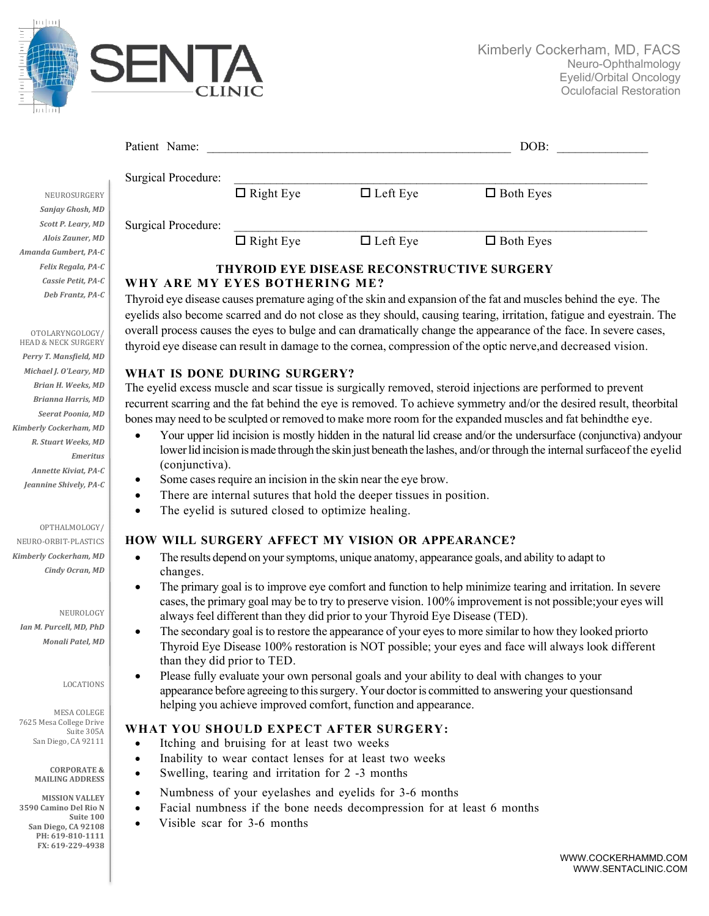

| Patient Name:       |                  |                 | DOB:             |
|---------------------|------------------|-----------------|------------------|
| Surgical Procedure: |                  |                 |                  |
|                     | $\Box$ Right Eye | $\Box$ Left Eye | $\Box$ Both Eyes |
| Surgical Procedure: |                  |                 |                  |
|                     | $\Box$ Right Eye | $\Box$ Left Eye | $\Box$ Both Eyes |

# **THYROID EYE DISEASE RECONSTRUCTIVE SURGERY WHY ARE MY EYES BOTHERING ME?**

Thyroid eye disease causes premature aging of the skin and expansion of the fat and muscles behind the eye. The eyelids also become scarred and do not close as they should, causing tearing, irritation, fatigue and eyestrain. The overall process causes the eyes to bulge and can dramatically change the appearance of the face. In severe cases, thyroid eye disease can result in damage to the cornea, compression of the optic nerve,and decreased vision.

# **WHAT IS DONE DURING SURGERY?**

The eyelid excess muscle and scar tissue is surgically removed, steroid injections are performed to prevent recurrent scarring and the fat behind the eye is removed. To achieve symmetry and/or the desired result, theorbital bones may need to be sculpted or removed to make more room for the expanded muscles and fat behindthe eye.

- Your upper lid incision is mostly hidden in the natural lid crease and/or the undersurface (conjunctiva) andyour lower lid incision is made through the skin just beneath the lashes, and/or through the internal surfaceof the eyelid (conjunctiva).
- Some cases require an incision in the skin near the eye brow.
- There are internal sutures that hold the deeper tissues in position.
- The eyelid is sutured closed to optimize healing.

# **HOW WILL SURGERY AFFECT MY VISION OR APPEARANCE?**

- The results depend on your symptoms, unique anatomy, appearance goals, and ability to adapt to changes.
- The primary goal is to improve eye comfort and function to help minimize tearing and irritation. In severe cases, the primary goal may be to try to preserve vision. 100% improvement is not possible;your eyes will always feel different than they did prior to your Thyroid Eye Disease (TED).
- The secondary goal is to restore the appearance of your eyes to more similar to how they looked priorto Thyroid Eye Disease 100% restoration is NOT possible; your eyes and face will always look different than they did prior to TED.
- Please fully evaluate your own personal goals and your ability to deal with changes to your appearance before agreeing to thissurgery. Your doctoris committed to answering your questionsand helping you achieve improved comfort, function and appearance.

# **WHAT YOU SHOULD EXPECT AFTER SURGERY:**

- Itching and bruising for at least two weeks
- Inability to wear contact lenses for at least two weeks
- Swelling, tearing and irritation for 2 -3 months
- Numbness of your eyelashes and eyelids for 3-6 months
- Facial numbness if the bone needs decompression for at least 6 months
- Visible scar for 3-6 months

NEUROSURGERY Sanjay Ghosh, MD **Scott P. Leary, MD** *Alois Zauner, MD Amanda Gumbert, PA-C Felix Regala, PA-C Cassie Petit, PA-C Deb Frantz, PA-C*

HEAD & NECK SURGERY Perry T. Mansfield, MD *Michael J. O'Leary, MD Brian H. Weeks, MD Brianna Harris, MD Seerat Poonia, MD Kimberly Cockerham, MD R. Stuart Weeks, MD Emeritus Annette Kiviat, PA-C*

Jeannine Shively, PA-C

OTOLARYNGOLOGY/

### OPTHALMOLOGY/

NEURO-ORBIT-PLASTICS *Kimberly Cockerham, MD Cindy Ocran, MD*

NEUROLOGY *Ian M. Purcell, MD, PhD Monali Patel, MD*

#### LOCATIONS

MESA COLEGE 7625 Mesa College Drive Suite 305A San Diego, CA 92111

> **CORPORATE & MAILING ADDRESS**

**MISSION VALLEY 3590 Camino Del Rio N** Suite 100 **San Diego, CA 92108 PH: 619-810-1111 FX: 619-229-4938**